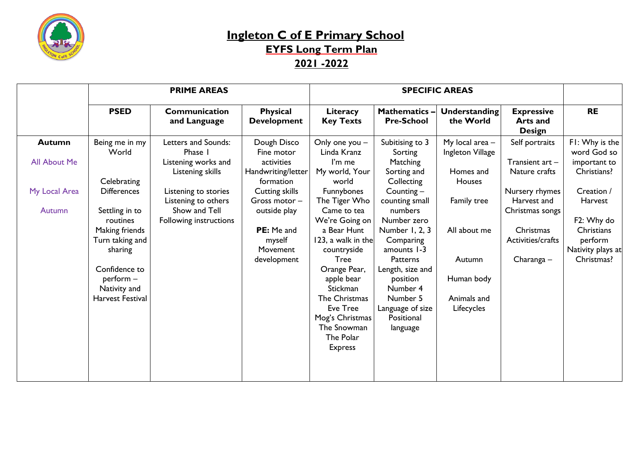

## **Ingleton C of E Primary School EYFS Long Term Plan 2021 -2022**

|                     | <b>PRIME AREAS</b>                           |                                             |                                               | <b>SPECIFIC AREAS</b>                                       |                                                        |                                     |                                                       |                                            |
|---------------------|----------------------------------------------|---------------------------------------------|-----------------------------------------------|-------------------------------------------------------------|--------------------------------------------------------|-------------------------------------|-------------------------------------------------------|--------------------------------------------|
|                     | <b>PSED</b>                                  | <b>Communication</b><br>and Language        | <b>Physical</b><br><b>Development</b>         | Literacy<br><b>Key Texts</b>                                | <b>Mathematics-</b><br><b>Pre-School</b>               | Understanding<br>the World          | <b>Expressive</b><br><b>Arts and</b><br><b>Design</b> | <b>RE</b>                                  |
| <b>Autumn</b>       | Being me in my<br>World                      | Letters and Sounds:<br>Phase I              | Dough Disco<br>Fine motor                     | Only one you -<br>Linda Kranz                               | Subitising to 3<br>Sorting                             | My local area -<br>Ingleton Village | Self portraits                                        | F1: Why is the<br>word God so              |
| <b>All About Me</b> | Celebrating                                  | Listening works and<br>Listening skills     | activities<br>Handwriting/letter<br>formation | I'm me<br>My world, Your<br>world                           | Matching<br>Sorting and<br>Collecting                  | Homes and<br><b>Houses</b>          | Transient art -<br>Nature crafts                      | important to<br>Christians?                |
| My Local Area       | <b>Differences</b>                           | Listening to stories<br>Listening to others | <b>Cutting skills</b><br>Gross motor -        | Funnybones<br>The Tiger Who                                 | Counting $-$<br>counting small                         | Family tree                         | Nursery rhymes<br>Harvest and                         | Creation /<br>Harvest                      |
| <b>Autumn</b>       | Settling in to<br>routines                   | Show and Tell<br>Following instructions     | outside play                                  | Came to tea<br>We're Going on                               | numbers<br>Number zero                                 |                                     | Christmas songs                                       | F2: Why do                                 |
|                     | Making friends<br>Turn taking and<br>sharing |                                             | <b>PE:</b> Me and<br>myself<br>Movement       | a Bear Hunt<br>123, a walk in the<br>countryside            | Number 1, 2, 3<br>Comparing<br>amounts 1-3             | All about me                        | Christmas<br>Activities/crafts                        | Christians<br>perform<br>Nativity plays at |
|                     | Confidence to                                |                                             | development                                   | <b>Tree</b><br>Orange Pear,                                 | Patterns<br>Length, size and                           | Autumn                              | Charanga –                                            | Christmas?                                 |
|                     | perform -<br>Nativity and                    |                                             |                                               | apple bear<br><b>Stickman</b>                               | position<br>Number 4                                   | Human body                          |                                                       |                                            |
|                     | Harvest Festival                             |                                             |                                               | The Christmas<br>Eve Tree<br>Mog's Christmas<br>The Snowman | Number 5<br>Language of size<br>Positional<br>language | Animals and<br>Lifecycles           |                                                       |                                            |
|                     |                                              |                                             |                                               | The Polar<br><b>Express</b>                                 |                                                        |                                     |                                                       |                                            |
|                     |                                              |                                             |                                               |                                                             |                                                        |                                     |                                                       |                                            |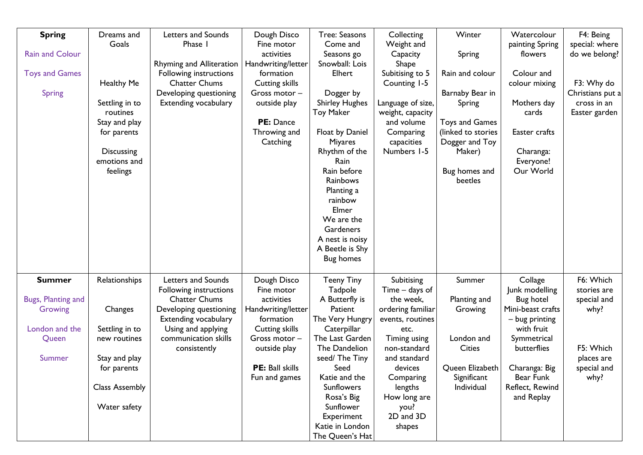| <b>Spring</b>          | Dreams and            | Letters and Sounds              | Dough Disco           | Tree: Seasons         | Collecting        | Winter                          | Watercolour       | F4: Being        |
|------------------------|-----------------------|---------------------------------|-----------------------|-----------------------|-------------------|---------------------------------|-------------------|------------------|
|                        | Goals                 | Phase I                         | Fine motor            | Come and              | Weight and        |                                 | painting Spring   | special: where   |
| <b>Rain and Colour</b> |                       |                                 | activities            | Seasons go            | Capacity          | <b>Spring</b>                   | flowers           | do we belong?    |
|                        |                       | <b>Rhyming and Alliteration</b> | Handwriting/letter    | Snowball: Lois        | Shape             |                                 |                   |                  |
| <b>Toys and Games</b>  |                       | Following instructions          | formation             | Elhert                | Subitising to 5   | Rain and colour                 | Colour and        |                  |
|                        | Healthy Me            | <b>Chatter Chums</b>            | <b>Cutting skills</b> |                       | Counting 1-5      |                                 | colour mixing     | F3: Why do       |
| <b>Spring</b>          |                       | Developing questioning          | Gross motor -         | Dogger by             |                   | Barnaby Bear in                 |                   | Christians put a |
|                        | Settling in to        | <b>Extending vocabulary</b>     | outside play          | <b>Shirley Hughes</b> | Language of size, | <b>Spring</b>                   | Mothers day       | cross in an      |
|                        | routines              |                                 |                       | <b>Toy Maker</b>      | weight, capacity  |                                 | cards             | Easter garden    |
|                        | Stay and play         |                                 | PE: Dance             |                       | and volume        | <b>Toys and Games</b>           |                   |                  |
|                        | for parents           |                                 | Throwing and          | Float by Daniel       | Comparing         | (linked to stories              | Easter crafts     |                  |
|                        |                       |                                 | Catching              | <b>Miyares</b>        | capacities        | Dogger and Toy                  |                   |                  |
|                        | <b>Discussing</b>     |                                 |                       | Rhythm of the         | Numbers 1-5       | Maker)                          | Charanga:         |                  |
|                        | emotions and          |                                 |                       | Rain                  |                   |                                 | Everyone!         |                  |
|                        | feelings              |                                 |                       | Rain before           |                   | Bug homes and                   | Our World         |                  |
|                        |                       |                                 |                       | Rainbows              |                   | beetles                         |                   |                  |
|                        |                       |                                 |                       | Planting a            |                   |                                 |                   |                  |
|                        |                       |                                 |                       | rainbow               |                   |                                 |                   |                  |
|                        |                       |                                 |                       | Elmer                 |                   |                                 |                   |                  |
|                        |                       |                                 |                       | We are the            |                   |                                 |                   |                  |
|                        |                       |                                 |                       | Gardeners             |                   |                                 |                   |                  |
|                        |                       |                                 |                       | A nest is noisy       |                   |                                 |                   |                  |
|                        |                       |                                 |                       | A Beetle is Shy       |                   |                                 |                   |                  |
|                        |                       |                                 |                       | <b>Bug homes</b>      |                   |                                 |                   |                  |
|                        |                       |                                 |                       |                       |                   |                                 |                   |                  |
| <b>Summer</b>          | Relationships         | Letters and Sounds              | Dough Disco           | <b>Teeny Tiny</b>     | Subitising        | Summer                          | Collage           | F6: Which        |
|                        |                       | Following instructions          | Fine motor            | Tadpole               | Time – days of    |                                 | Junk modelling    | stories are      |
| Bugs, Planting and     |                       | <b>Chatter Chums</b>            | activities            | A Butterfly is        | the week,         | Planting and                    | <b>Bug hotel</b>  | special and      |
| Growing                | Changes               | Developing questioning          | Handwriting/letter    | Patient               | ordering familiar | Growing                         | Mini-beast crafts | why?             |
|                        |                       | <b>Extending vocabulary</b>     | formation             | The Very Hungry       | events, routines  |                                 | - bug printing    |                  |
| London and the         | Settling in to        | Using and applying              | Cutting skills        | Caterpillar           | etc.              |                                 | with fruit        |                  |
| Queen                  | new routines          | communication skills            | Gross motor -         | The Last Garden       | Timing using      | London and                      | Symmetrical       |                  |
|                        |                       | consistently                    | outside play          | The Dandelion         | non-standard      | Cities                          | butterflies       | F5: Which        |
| Summer                 | Stay and play         |                                 |                       | seed/ The Tiny        | and standard      |                                 |                   | places are       |
|                        | for parents           |                                 | PE: Ball skills       | Seed                  | devices           | Queen Elizabeth   Charanga: Big |                   | special and      |
|                        |                       |                                 | Fun and games         | Katie and the         | Comparing         | Significant                     | Bear Funk         | why?             |
|                        | <b>Class Assembly</b> |                                 |                       | <b>Sunflowers</b>     | lengths           | Individual                      | Reflect, Rewind   |                  |
|                        |                       |                                 |                       | Rosa's Big            | How long are      |                                 | and Replay        |                  |
|                        | Water safety          |                                 |                       | Sunflower             | you?              |                                 |                   |                  |
|                        |                       |                                 |                       | Experiment            | 2D and 3D         |                                 |                   |                  |
|                        |                       |                                 |                       | Katie in London       | shapes            |                                 |                   |                  |
|                        |                       |                                 |                       | The Queen's Hat       |                   |                                 |                   |                  |